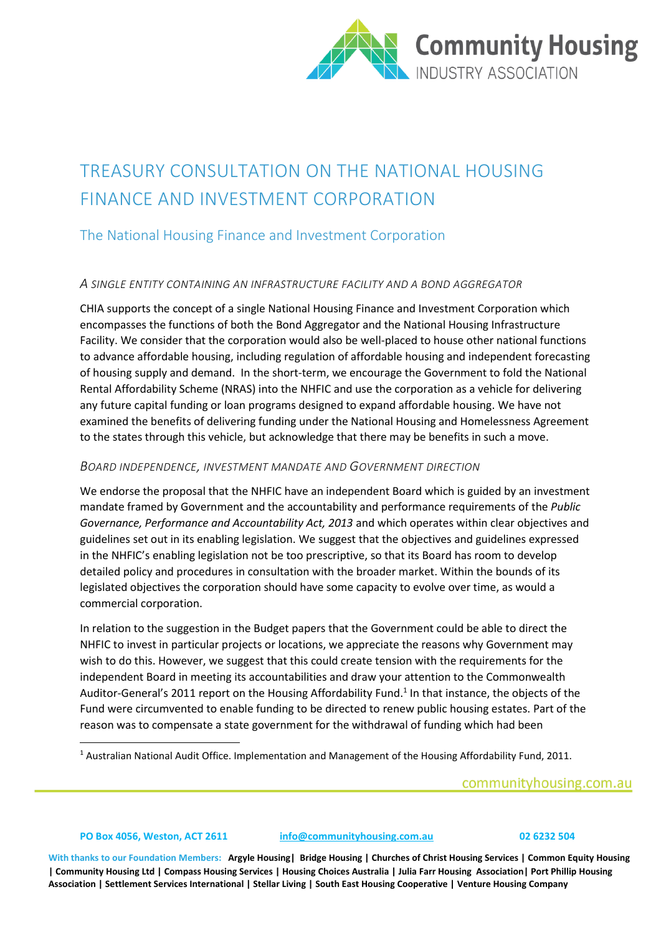

# TREASURY CONSULTATION ON THE NATIONAL HOUSING FINANCE AND INVESTMENT CORPORATION

## The National Housing Finance and Investment Corporation

## *A SINGLE ENTITY CONTAINING AN INFRASTRUCTURE FACILITY AND A BOND AGGREGATOR*

CHIA supports the concept of a single National Housing Finance and Investment Corporation which encompasses the functions of both the Bond Aggregator and the National Housing Infrastructure Facility. We consider that the corporation would also be well-placed to house other national functions to advance affordable housing, including regulation of affordable housing and independent forecasting of housing supply and demand. In the short-term, we encourage the Government to fold the National Rental Affordability Scheme (NRAS) into the NHFIC and use the corporation as a vehicle for delivering any future capital funding or loan programs designed to expand affordable housing. We have not examined the benefits of delivering funding under the National Housing and Homelessness Agreement to the states through this vehicle, but acknowledge that there may be benefits in such a move.

## *BOARD INDEPENDENCE, INVESTMENT MANDATE AND GOVERNMENT DIRECTION*

We endorse the proposal that the NHFIC have an independent Board which is guided by an investment mandate framed by Government and the accountability and performance requirements of the *Public Governance, Performance and Accountability Act, 2013* and which operates within clear objectives and guidelines set out in its enabling legislation. We suggest that the objectives and guidelines expressed in the NHFIC's enabling legislation not be too prescriptive, so that its Board has room to develop detailed policy and procedures in consultation with the broader market. Within the bounds of its legislated objectives the corporation should have some capacity to evolve over time, as would a commercial corporation.

In relation to the suggestion in the Budget papers that the Government could be able to direct the NHFIC to invest in particular projects or locations, we appreciate the reasons why Government may wish to do this. However, we suggest that this could create tension with the requirements for the independent Board in meeting its accountabilities and draw your attention to the Commonwealth Auditor-General's 2011 report on the Housing Affordability Fund. 1 In that instance, the objects of the Fund were circumvented to enable funding to be directed to renew public housing estates. Part of the reason was to compensate a state government for the withdrawal of funding which had been

<sup>1</sup> Australian National Audit Office. Implementation and Management of the Housing Affordability Fund, 2011.

## communityhousing.com.au

**.** 

#### **PO Box 4056, Weston, ACT 2611 [info@communityhousing.com.au](mailto:info@communityhousing.com.au) 02 6232 504**

**With thanks to our Foundation Members: Argyle Housing| Bridge Housing | Churches of Christ Housing Services | Common Equity Housing | Community Housing Ltd | Compass Housing Services | Housing Choices Australia | Julia Farr Housing Association| Port Phillip Housing Association | Settlement Services International | Stellar Living | South East Housing Cooperative | Venture Housing Company**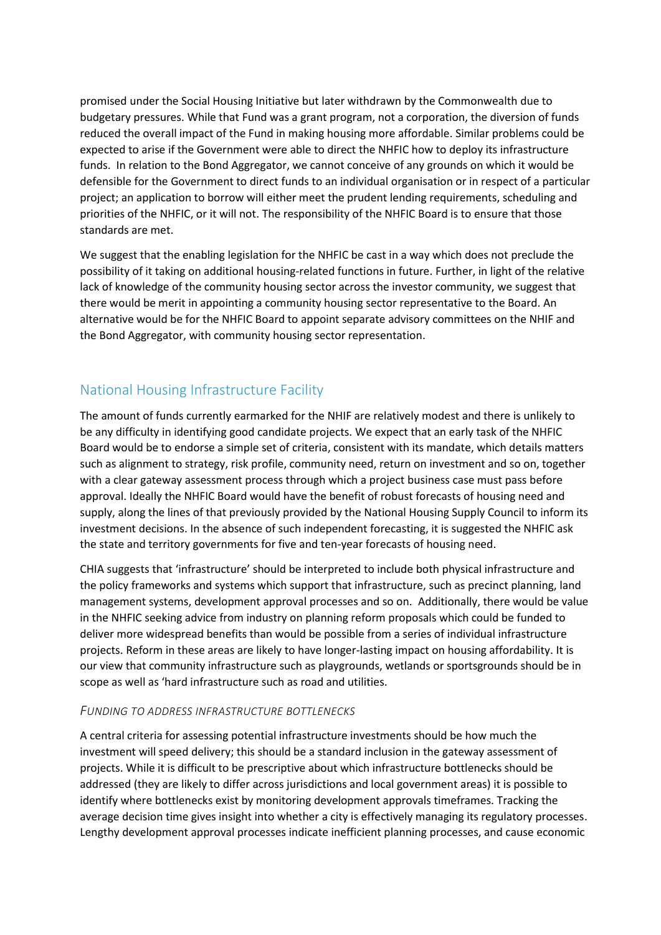promised under the Social Housing Initiative but later withdrawn by the Commonwealth due to budgetary pressures. While that Fund was a grant program, not a corporation, the diversion of funds reduced the overall impact of the Fund in making housing more affordable. Similar problems could be expected to arise if the Government were able to direct the NHFIC how to deploy its infrastructure funds. In relation to the Bond Aggregator, we cannot conceive of any grounds on which it would be defensible for the Government to direct funds to an individual organisation or in respect of a particular project; an application to borrow will either meet the prudent lending requirements, scheduling and priorities of the NHFIC, or it will not. The responsibility of the NHFIC Board is to ensure that those standards are met.

We suggest that the enabling legislation for the NHFIC be cast in a way which does not preclude the possibility of it taking on additional housing-related functions in future. Further, in light of the relative lack of knowledge of the community housing sector across the investor community, we suggest that there would be merit in appointing a community housing sector representative to the Board. An alternative would be for the NHFIC Board to appoint separate advisory committees on the NHIF and the Bond Aggregator, with community housing sector representation.

## National Housing Infrastructure Facility

The amount of funds currently earmarked for the NHIF are relatively modest and there is unlikely to be any difficulty in identifying good candidate projects. We expect that an early task of the NHFIC Board would be to endorse a simple set of criteria, consistent with its mandate, which details matters such as alignment to strategy, risk profile, community need, return on investment and so on, together with a clear gateway assessment process through which a project business case must pass before approval. Ideally the NHFIC Board would have the benefit of robust forecasts of housing need and supply, along the lines of that previously provided by the National Housing Supply Council to inform its investment decisions. In the absence of such independent forecasting, it is suggested the NHFIC ask the state and territory governments for five and ten-year forecasts of housing need.

CHIA suggests that 'infrastructure' should be interpreted to include both physical infrastructure and the policy frameworks and systems which support that infrastructure, such as precinct planning, land management systems, development approval processes and so on. Additionally, there would be value in the NHFIC seeking advice from industry on planning reform proposals which could be funded to deliver more widespread benefits than would be possible from a series of individual infrastructure projects. Reform in these areas are likely to have longer-lasting impact on housing affordability. It is our view that community infrastructure such as playgrounds, wetlands or sportsgrounds should be in scope as well as 'hard infrastructure such as road and utilities.

## *FUNDING TO ADDRESS INFRASTRUCTURE BOTTLENECKS*

A central criteria for assessing potential infrastructure investments should be how much the investment will speed delivery; this should be a standard inclusion in the gateway assessment of projects. While it is difficult to be prescriptive about which infrastructure bottlenecks should be addressed (they are likely to differ across jurisdictions and local government areas) it is possible to identify where bottlenecks exist by monitoring development approvals timeframes. Tracking the average decision time gives insight into whether a city is effectively managing its regulatory processes. Lengthy development approval processes indicate inefficient planning processes, and cause economic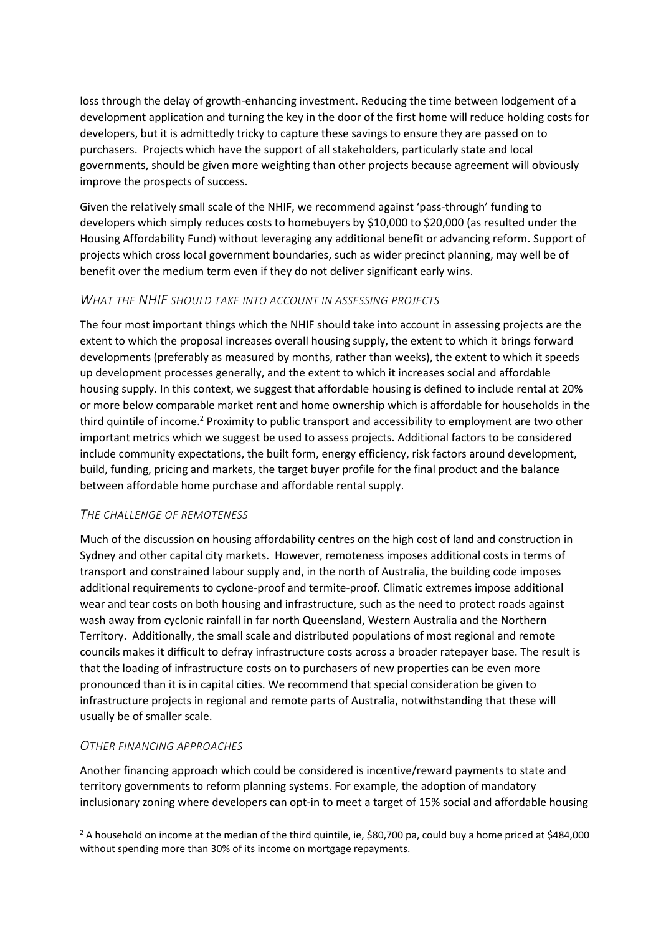loss through the delay of growth-enhancing investment. Reducing the time between lodgement of a development application and turning the key in the door of the first home will reduce holding costs for developers, but it is admittedly tricky to capture these savings to ensure they are passed on to purchasers. Projects which have the support of all stakeholders, particularly state and local governments, should be given more weighting than other projects because agreement will obviously improve the prospects of success.

Given the relatively small scale of the NHIF, we recommend against 'pass-through' funding to developers which simply reduces costs to homebuyers by \$10,000 to \$20,000 (as resulted under the Housing Affordability Fund) without leveraging any additional benefit or advancing reform. Support of projects which cross local government boundaries, such as wider precinct planning, may well be of benefit over the medium term even if they do not deliver significant early wins.

## *WHAT THE NHIF SHOULD TAKE INTO ACCOUNT IN ASSESSING PROJECTS*

The four most important things which the NHIF should take into account in assessing projects are the extent to which the proposal increases overall housing supply, the extent to which it brings forward developments (preferably as measured by months, rather than weeks), the extent to which it speeds up development processes generally, and the extent to which it increases social and affordable housing supply. In this context, we suggest that affordable housing is defined to include rental at 20% or more below comparable market rent and home ownership which is affordable for households in the third quintile of income.<sup>2</sup> Proximity to public transport and accessibility to employment are two other important metrics which we suggest be used to assess projects. Additional factors to be considered include community expectations, the built form, energy efficiency, risk factors around development, build, funding, pricing and markets, the target buyer profile for the final product and the balance between affordable home purchase and affordable rental supply.

## *THE CHALLENGE OF REMOTENESS*

Much of the discussion on housing affordability centres on the high cost of land and construction in Sydney and other capital city markets. However, remoteness imposes additional costs in terms of transport and constrained labour supply and, in the north of Australia, the building code imposes additional requirements to cyclone-proof and termite-proof. Climatic extremes impose additional wear and tear costs on both housing and infrastructure, such as the need to protect roads against wash away from cyclonic rainfall in far north Queensland, Western Australia and the Northern Territory. Additionally, the small scale and distributed populations of most regional and remote councils makes it difficult to defray infrastructure costs across a broader ratepayer base. The result is that the loading of infrastructure costs on to purchasers of new properties can be even more pronounced than it is in capital cities. We recommend that special consideration be given to infrastructure projects in regional and remote parts of Australia, notwithstanding that these will usually be of smaller scale.

## *OTHER FINANCING APPROACHES*

1

Another financing approach which could be considered is incentive/reward payments to state and territory governments to reform planning systems. For example, the adoption of mandatory inclusionary zoning where developers can opt-in to meet a target of 15% social and affordable housing

<sup>&</sup>lt;sup>2</sup> A household on income at the median of the third quintile, ie, \$80,700 pa, could buy a home priced at \$484,000 without spending more than 30% of its income on mortgage repayments.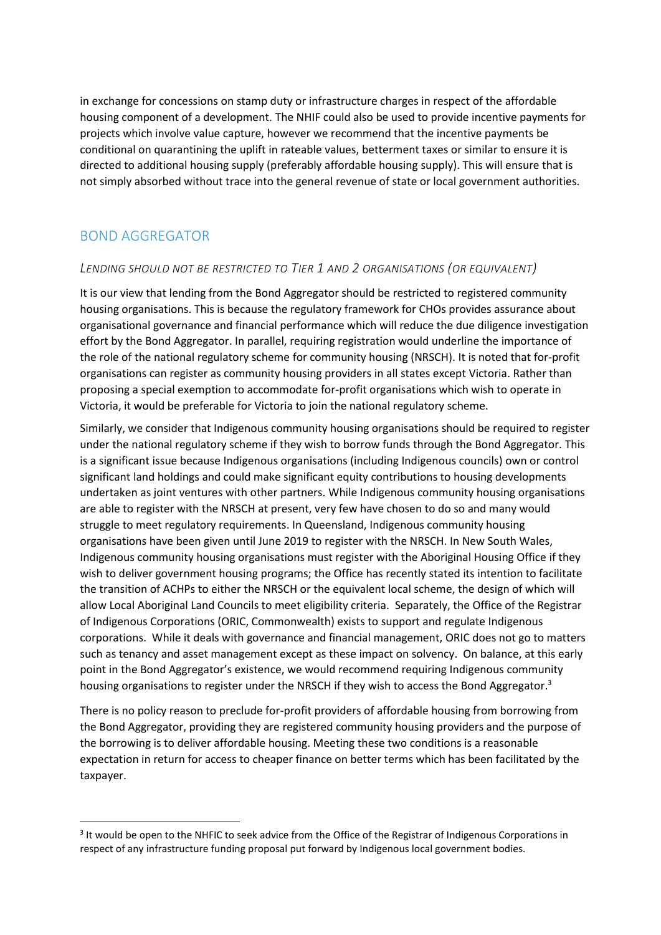in exchange for concessions on stamp duty or infrastructure charges in respect of the affordable housing component of a development. The NHIF could also be used to provide incentive payments for projects which involve value capture, however we recommend that the incentive payments be conditional on quarantining the uplift in rateable values, betterment taxes or similar to ensure it is directed to additional housing supply (preferably affordable housing supply). This will ensure that is not simply absorbed without trace into the general revenue of state or local government authorities.

## BOND AGGREGATOR

1

## *LENDING SHOULD NOT BE RESTRICTED TO TIER 1 AND 2 ORGANISATIONS (OR EQUIVALENT)*

It is our view that lending from the Bond Aggregator should be restricted to registered community housing organisations. This is because the regulatory framework for CHOs provides assurance about organisational governance and financial performance which will reduce the due diligence investigation effort by the Bond Aggregator. In parallel, requiring registration would underline the importance of the role of the national regulatory scheme for community housing (NRSCH). It is noted that for-profit organisations can register as community housing providers in all states except Victoria. Rather than proposing a special exemption to accommodate for-profit organisations which wish to operate in Victoria, it would be preferable for Victoria to join the national regulatory scheme.

Similarly, we consider that Indigenous community housing organisations should be required to register under the national regulatory scheme if they wish to borrow funds through the Bond Aggregator. This is a significant issue because Indigenous organisations (including Indigenous councils) own or control significant land holdings and could make significant equity contributions to housing developments undertaken as joint ventures with other partners. While Indigenous community housing organisations are able to register with the NRSCH at present, very few have chosen to do so and many would struggle to meet regulatory requirements. In Queensland, Indigenous community housing organisations have been given until June 2019 to register with the NRSCH. In New South Wales, Indigenous community housing organisations must register with the Aboriginal Housing Office if they wish to deliver government housing programs; the Office has recently stated its intention to facilitate the transition of ACHPs to either the NRSCH or the equivalent local scheme, the design of which will allow Local Aboriginal Land Councils to meet eligibility criteria. Separately, the Office of the Registrar of Indigenous Corporations (ORIC, Commonwealth) exists to support and regulate Indigenous corporations. While it deals with governance and financial management, ORIC does not go to matters such as tenancy and asset management except as these impact on solvency. On balance, at this early point in the Bond Aggregator's existence, we would recommend requiring Indigenous community housing organisations to register under the NRSCH if they wish to access the Bond Aggregator.<sup>3</sup>

There is no policy reason to preclude for-profit providers of affordable housing from borrowing from the Bond Aggregator, providing they are registered community housing providers and the purpose of the borrowing is to deliver affordable housing. Meeting these two conditions is a reasonable expectation in return for access to cheaper finance on better terms which has been facilitated by the taxpayer.

<sup>&</sup>lt;sup>3</sup> It would be open to the NHFIC to seek advice from the Office of the Registrar of Indigenous Corporations in respect of any infrastructure funding proposal put forward by Indigenous local government bodies.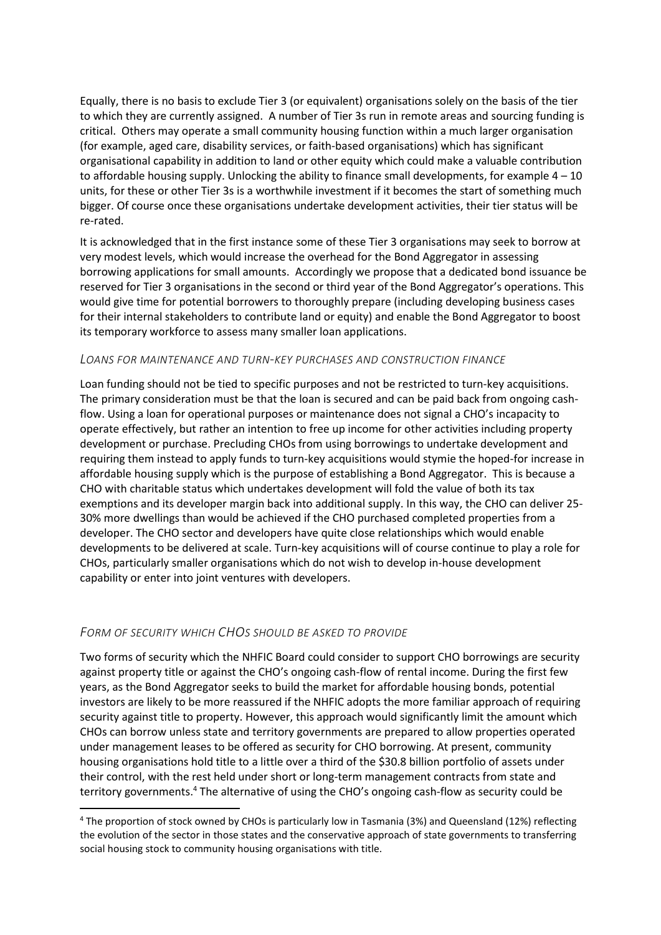Equally, there is no basis to exclude Tier 3 (or equivalent) organisations solely on the basis of the tier to which they are currently assigned. A number of Tier 3s run in remote areas and sourcing funding is critical. Others may operate a small community housing function within a much larger organisation (for example, aged care, disability services, or faith-based organisations) which has significant organisational capability in addition to land or other equity which could make a valuable contribution to affordable housing supply. Unlocking the ability to finance small developments, for example 4 – 10 units, for these or other Tier 3s is a worthwhile investment if it becomes the start of something much bigger. Of course once these organisations undertake development activities, their tier status will be re-rated.

It is acknowledged that in the first instance some of these Tier 3 organisations may seek to borrow at very modest levels, which would increase the overhead for the Bond Aggregator in assessing borrowing applications for small amounts. Accordingly we propose that a dedicated bond issuance be reserved for Tier 3 organisations in the second or third year of the Bond Aggregator's operations. This would give time for potential borrowers to thoroughly prepare (including developing business cases for their internal stakeholders to contribute land or equity) and enable the Bond Aggregator to boost its temporary workforce to assess many smaller loan applications.

#### *LOANS FOR MAINTENANCE AND TURN-KEY PURCHASES AND CONSTRUCTION FINANCE*

Loan funding should not be tied to specific purposes and not be restricted to turn-key acquisitions. The primary consideration must be that the loan is secured and can be paid back from ongoing cashflow. Using a loan for operational purposes or maintenance does not signal a CHO's incapacity to operate effectively, but rather an intention to free up income for other activities including property development or purchase. Precluding CHOs from using borrowings to undertake development and requiring them instead to apply funds to turn-key acquisitions would stymie the hoped-for increase in affordable housing supply which is the purpose of establishing a Bond Aggregator. This is because a CHO with charitable status which undertakes development will fold the value of both its tax exemptions and its developer margin back into additional supply. In this way, the CHO can deliver 25- 30% more dwellings than would be achieved if the CHO purchased completed properties from a developer. The CHO sector and developers have quite close relationships which would enable developments to be delivered at scale. Turn-key acquisitions will of course continue to play a role for CHOs, particularly smaller organisations which do not wish to develop in-house development capability or enter into joint ventures with developers.

#### *FORM OF SECURITY WHICH CHOS SHOULD BE ASKED TO PROVIDE*

**.** 

Two forms of security which the NHFIC Board could consider to support CHO borrowings are security against property title or against the CHO's ongoing cash-flow of rental income. During the first few years, as the Bond Aggregator seeks to build the market for affordable housing bonds, potential investors are likely to be more reassured if the NHFIC adopts the more familiar approach of requiring security against title to property. However, this approach would significantly limit the amount which CHOs can borrow unless state and territory governments are prepared to allow properties operated under management leases to be offered as security for CHO borrowing. At present, community housing organisations hold title to a little over a third of the \$30.8 billion portfolio of assets under their control, with the rest held under short or long-term management contracts from state and territory governments.<sup>4</sup> The alternative of using the CHO's ongoing cash-flow as security could be

<sup>4</sup> The proportion of stock owned by CHOs is particularly low in Tasmania (3%) and Queensland (12%) reflecting the evolution of the sector in those states and the conservative approach of state governments to transferring social housing stock to community housing organisations with title.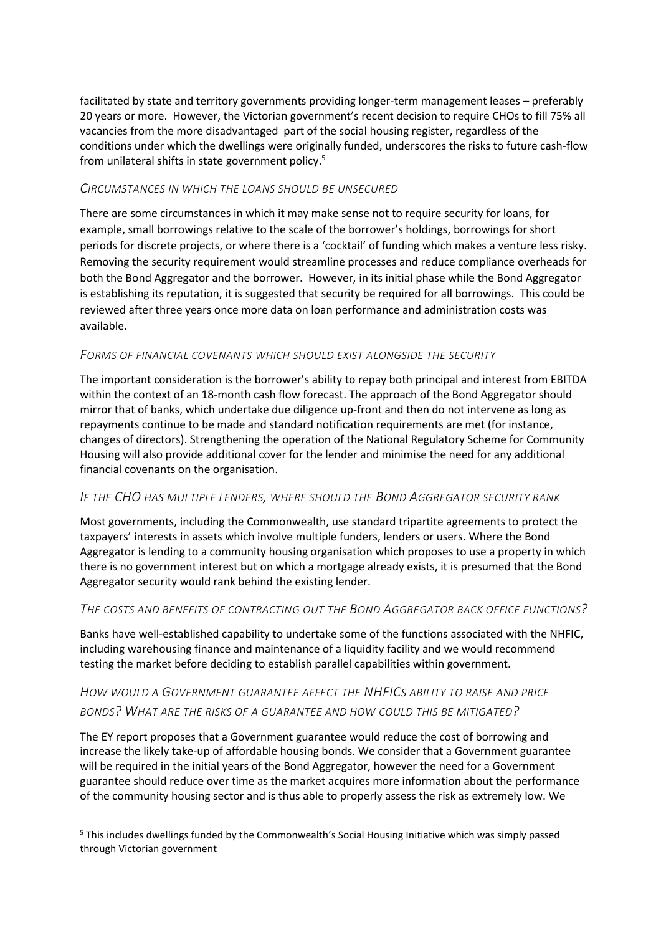facilitated by state and territory governments providing longer-term management leases – preferably 20 years or more. However, the Victorian government's recent decision to require CHOs to fill 75% all vacancies from the more disadvantaged part of the social housing register, regardless of the conditions under which the dwellings were originally funded, underscores the risks to future cash-flow from unilateral shifts in state government policy.<sup>5</sup>

## *CIRCUMSTANCES IN WHICH THE LOANS SHOULD BE UNSECURED*

There are some circumstances in which it may make sense not to require security for loans, for example, small borrowings relative to the scale of the borrower's holdings, borrowings for short periods for discrete projects, or where there is a 'cocktail' of funding which makes a venture less risky. Removing the security requirement would streamline processes and reduce compliance overheads for both the Bond Aggregator and the borrower. However, in its initial phase while the Bond Aggregator is establishing its reputation, it is suggested that security be required for all borrowings. This could be reviewed after three years once more data on loan performance and administration costs was available.

## *FORMS OF FINANCIAL COVENANTS WHICH SHOULD EXIST ALONGSIDE THE SECURITY*

The important consideration is the borrower's ability to repay both principal and interest from EBITDA within the context of an 18-month cash flow forecast. The approach of the Bond Aggregator should mirror that of banks, which undertake due diligence up-front and then do not intervene as long as repayments continue to be made and standard notification requirements are met (for instance, changes of directors). Strengthening the operation of the National Regulatory Scheme for Community Housing will also provide additional cover for the lender and minimise the need for any additional financial covenants on the organisation.

## *IF THE CHO HAS MULTIPLE LENDERS, WHERE SHOULD THE BOND AGGREGATOR SECURITY RANK*

Most governments, including the Commonwealth, use standard tripartite agreements to protect the taxpayers' interests in assets which involve multiple funders, lenders or users. Where the Bond Aggregator is lending to a community housing organisation which proposes to use a property in which there is no government interest but on which a mortgage already exists, it is presumed that the Bond Aggregator security would rank behind the existing lender.

## *THE COSTS AND BENEFITS OF CONTRACTING OUT THE BOND AGGREGATOR BACK OFFICE FUNCTIONS?*

Banks have well-established capability to undertake some of the functions associated with the NHFIC, including warehousing finance and maintenance of a liquidity facility and we would recommend testing the market before deciding to establish parallel capabilities within government.

## *HOW WOULD A GOVERNMENT GUARANTEE AFFECT THE NHFICS ABILITY TO RAISE AND PRICE BONDS? WHAT ARE THE RISKS OF A GUARANTEE AND HOW COULD THIS BE MITIGATED?*

The EY report proposes that a Government guarantee would reduce the cost of borrowing and increase the likely take-up of affordable housing bonds. We consider that a Government guarantee will be required in the initial years of the Bond Aggregator, however the need for a Government guarantee should reduce over time as the market acquires more information about the performance of the community housing sector and is thus able to properly assess the risk as extremely low. We

1

<sup>5</sup> This includes dwellings funded by the Commonwealth's Social Housing Initiative which was simply passed through Victorian government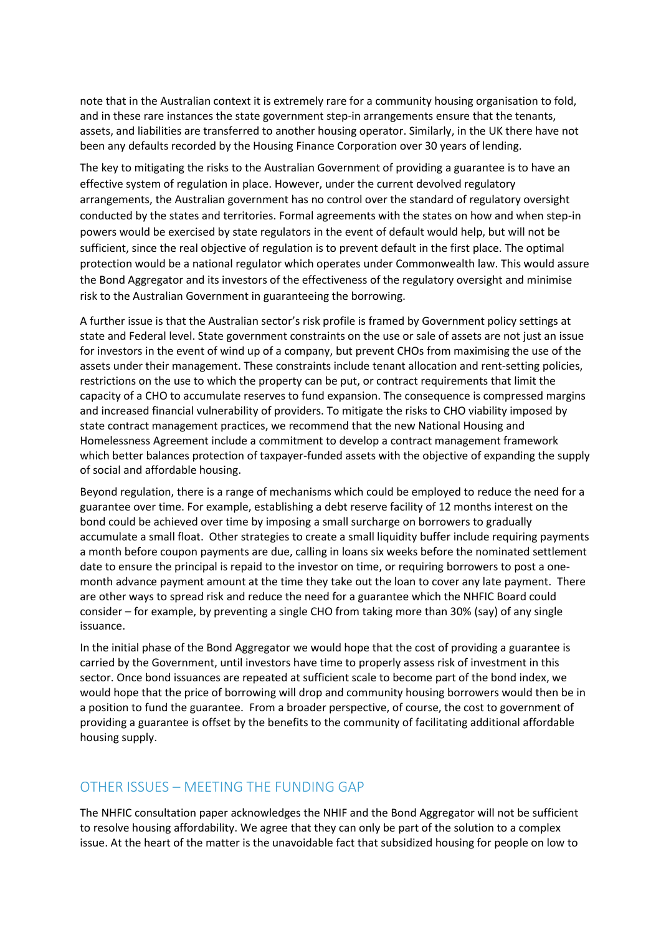note that in the Australian context it is extremely rare for a community housing organisation to fold, and in these rare instances the state government step-in arrangements ensure that the tenants, assets, and liabilities are transferred to another housing operator. Similarly, in the UK there have not been any defaults recorded by the Housing Finance Corporation over 30 years of lending.

The key to mitigating the risks to the Australian Government of providing a guarantee is to have an effective system of regulation in place. However, under the current devolved regulatory arrangements, the Australian government has no control over the standard of regulatory oversight conducted by the states and territories. Formal agreements with the states on how and when step-in powers would be exercised by state regulators in the event of default would help, but will not be sufficient, since the real objective of regulation is to prevent default in the first place. The optimal protection would be a national regulator which operates under Commonwealth law. This would assure the Bond Aggregator and its investors of the effectiveness of the regulatory oversight and minimise risk to the Australian Government in guaranteeing the borrowing.

A further issue is that the Australian sector's risk profile is framed by Government policy settings at state and Federal level. State government constraints on the use or sale of assets are not just an issue for investors in the event of wind up of a company, but prevent CHOs from maximising the use of the assets under their management. These constraints include tenant allocation and rent-setting policies, restrictions on the use to which the property can be put, or contract requirements that limit the capacity of a CHO to accumulate reserves to fund expansion. The consequence is compressed margins and increased financial vulnerability of providers. To mitigate the risks to CHO viability imposed by state contract management practices, we recommend that the new National Housing and Homelessness Agreement include a commitment to develop a contract management framework which better balances protection of taxpayer-funded assets with the objective of expanding the supply of social and affordable housing.

Beyond regulation, there is a range of mechanisms which could be employed to reduce the need for a guarantee over time. For example, establishing a debt reserve facility of 12 months interest on the bond could be achieved over time by imposing a small surcharge on borrowers to gradually accumulate a small float. Other strategies to create a small liquidity buffer include requiring payments a month before coupon payments are due, calling in loans six weeks before the nominated settlement date to ensure the principal is repaid to the investor on time, or requiring borrowers to post a onemonth advance payment amount at the time they take out the loan to cover any late payment. There are other ways to spread risk and reduce the need for a guarantee which the NHFIC Board could consider – for example, by preventing a single CHO from taking more than 30% (say) of any single issuance.

In the initial phase of the Bond Aggregator we would hope that the cost of providing a guarantee is carried by the Government, until investors have time to properly assess risk of investment in this sector. Once bond issuances are repeated at sufficient scale to become part of the bond index, we would hope that the price of borrowing will drop and community housing borrowers would then be in a position to fund the guarantee. From a broader perspective, of course, the cost to government of providing a guarantee is offset by the benefits to the community of facilitating additional affordable housing supply.

## OTHER ISSUES – MEETING THE FUNDING GAP

The NHFIC consultation paper acknowledges the NHIF and the Bond Aggregator will not be sufficient to resolve housing affordability. We agree that they can only be part of the solution to a complex issue. At the heart of the matter is the unavoidable fact that subsidized housing for people on low to